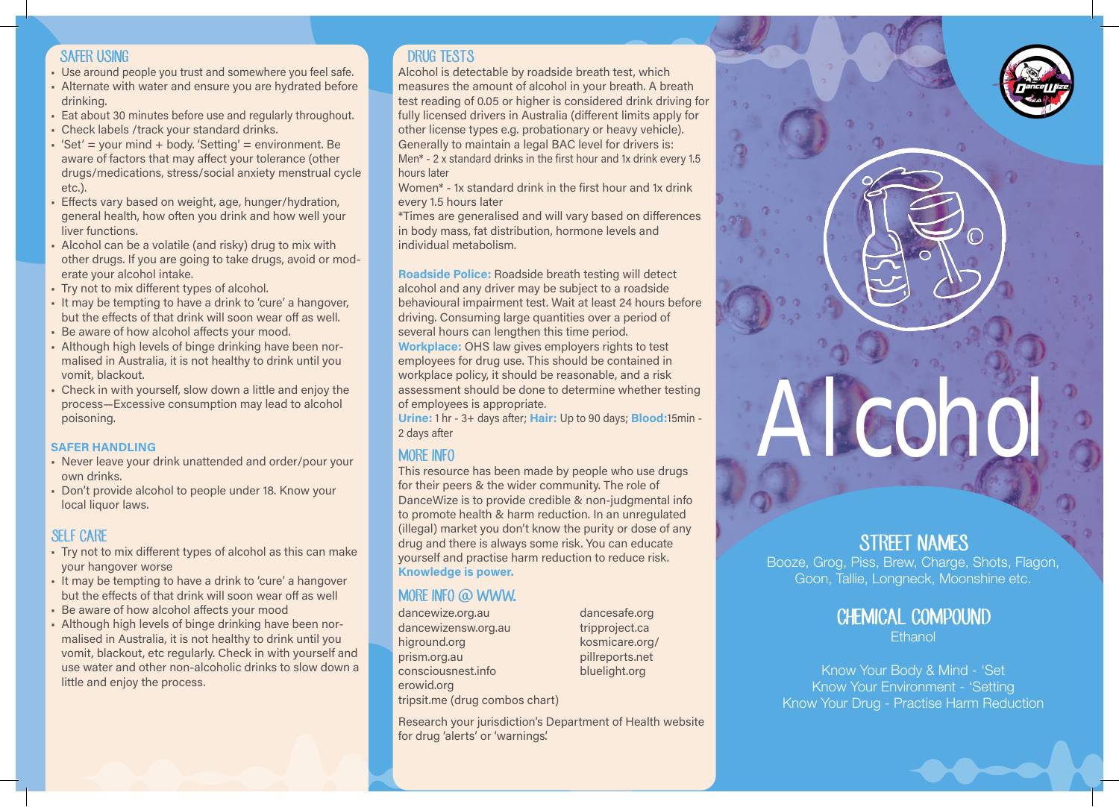#### SAFER USING

- Use around people you trust and somewhere you feel safe.
- Alternate with water and ensure you are hydrated before drinking.
- Eat about 30 minutes before use and regularly throughout.
- Check labels /track your standard drinks.
- $\bullet$  'Set' = your mind + body. 'Setting' = environment. Be aware of factors that may affect your tolerance (other drugs/medications, stress/social anxiety menstrual cycle etc.).
- Effects vary based on weight, age, hunger/hydration, general health, how often you drink and how well your liver functions.
- Alcohol can be a volatile (and risky) drug to mix with other drugs. If you are going to take drugs, avoid or moderate your alcohol intake.
- Try not to mix different types of alcohol.
- It may be tempting to have a drink to 'cure' a hangover, but the effects of that drink will soon wear off as well.
- Be aware of how alcohol affects your mood.
- Although high levels of binge drinking have been normalised in Australia, it is not healthy to drink until you vomit, blackout.
- Check in with yourself, slow down a little and enjoy the process—Excessive consumption may lead to alcohol poisoning.

#### SAFER HANDLING

- Never leave your drink unattended and order/pour your own drinks.
- Don't provide alcohol to people under 18. Know your local liquor laws.

#### SEI F CARE

- Try not to mix different types of alcohol as this can make your hangover worse
- It may be tempting to have a drink to 'cure' a hangover but the effects of that drink will soon wear off as well
- Be aware of how alcohol affects your mood
- Although high levels of binge drinking have been normalised in Australia, it is not healthy to drink until you vomit, blackout, etc regularly. Check in with yourself and use water and other non-alcoholic drinks to slow down a little and enjoy the process.

#### DRUG TESTS

Alcohol is detectable by roadside breath test, which measures the amount of alcohol in your breath. A breath test reading of 0.05 or higher is considered drink driving for fully licensed drivers in Australia (different limits apply for other license types e.g. probationary or heavy vehicle). Generally to maintain a legal BAC level for drivers is: Men\* - 2 x standard drinks in the first hour and 1x drink every 1.5 hours later

Women\* - 1x standard drink in the first hour and 1x drink every 1.5 hours later

\*Times are generalised and will vary based on differences in body mass, fat distribution, hormone levels and individual metabolism.

Roadside Police: Roadside breath testing will detect alcohol and any driver may be subject to a roadside behavioural impairment test. Wait at least 24 hours before driving. Consuming large quantities over a period of several hours can lengthen this time period. Workplace: OHS law gives employers rights to test employees for drug use. This should be contained in workplace policy, it should be reasonable, and a risk assessment should be done to determine whether testing of employees is appropriate.

Urine: 1 hr - 3+ days after; Hair: Up to 90 days; Blood:15min - 2 days after

#### MORE INFO

This resource has been made by people who use drugs for their peers & the wider community. The role of DanceWize is to provide credible & non-judgmental info to promote health & harm reduction. In an unregulated (illegal) market you don't know the purity or dose of any drug and there is always some risk. You can educate yourself and practise harm reduction to reduce risk. Knowledge is power.

# MORE INFO @ WWW.

dancewize.org.au dancewizensw.org.au higround.org prism.org.au consciousnest.info erowid.org tripsit.me (drug combos chart) dancesafe.org tripproject.ca kosmicare.org/ pillreports.net bluelight.org

Research your jurisdiction's Department of Health website for drug 'alerts' or 'warnings'.

# Alcohol

# STREET NAMES

Booze, Grog, Piss, Brew, Charge, Shots, Flagon, Goon, Tallie, Longneck, Moonshine etc.

## CHEMICAL COMPOUND **Ethanol**

Know Your Body & Mind - 'Set Know Your Environment - 'Setting Know Your Drug - Practise Harm Reduction